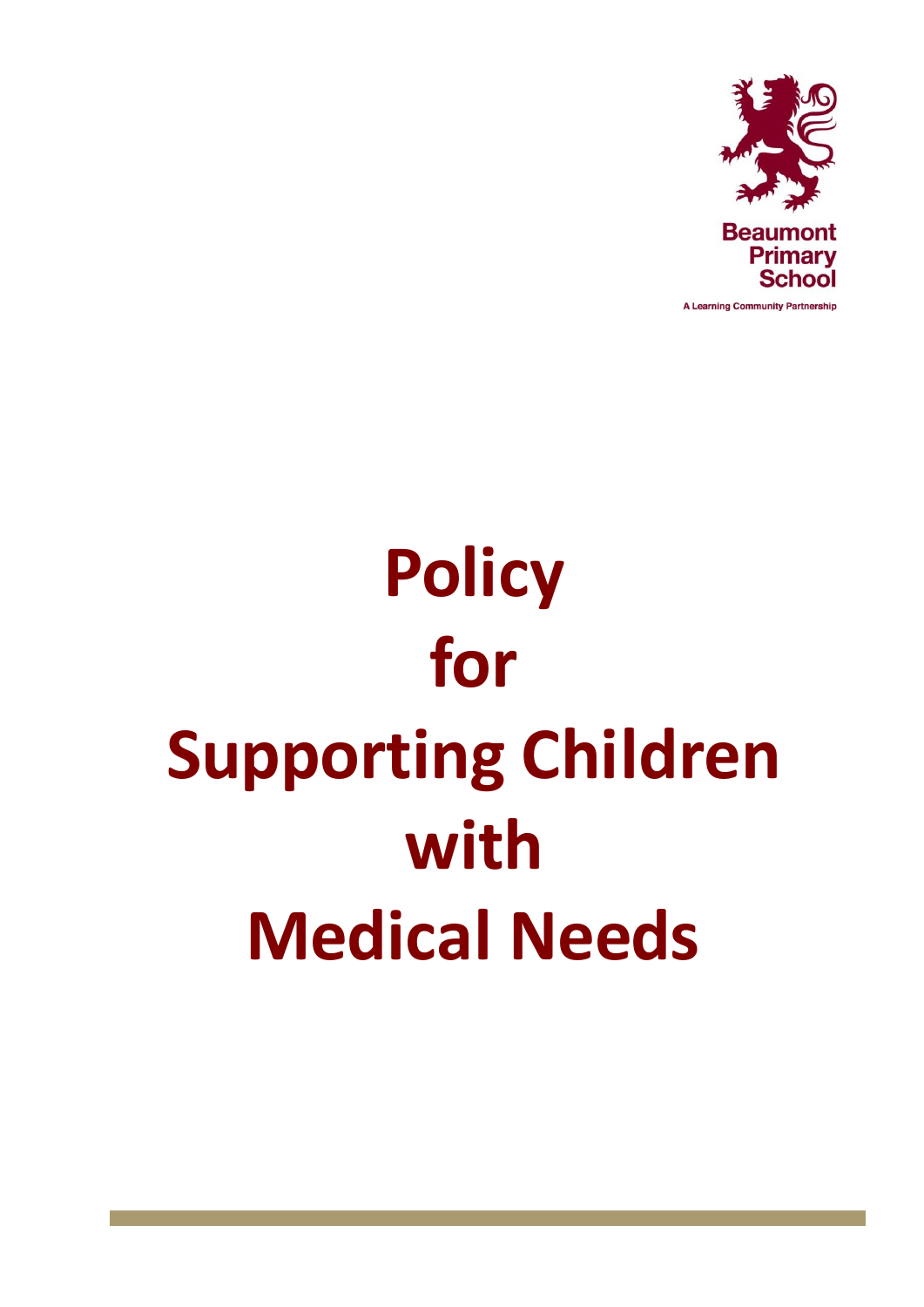

A Learning Community Partnership

# **Policy for Supporting Children with Medical Needs**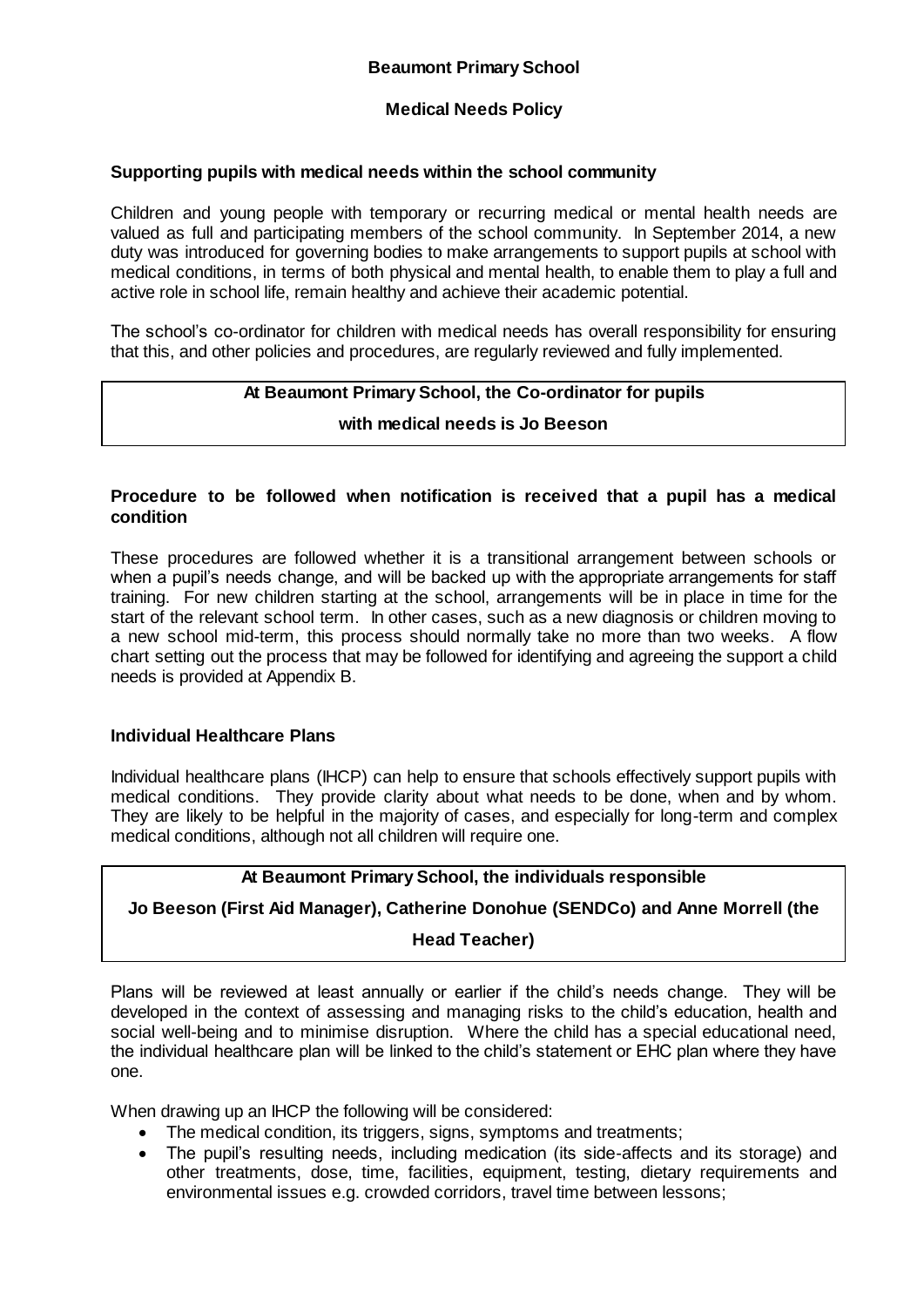#### **Medical Needs Policy**

#### **Supporting pupils with medical needs within the school community**

Children and young people with temporary or recurring medical or mental health needs are valued as full and participating members of the school community. In September 2014, a new duty was introduced for governing bodies to make arrangements to support pupils at school with medical conditions, in terms of both physical and mental health, to enable them to play a full and active role in school life, remain healthy and achieve their academic potential.

The school's co-ordinator for children with medical needs has overall responsibility for ensuring that this, and other policies and procedures, are regularly reviewed and fully implemented.

#### **At Beaumont Primary School, the Co-ordinator for pupils**

**with medical needs is Jo Beeson**

#### **Procedure to be followed when notification is received that a pupil has a medical condition**

These procedures are followed whether it is a transitional arrangement between schools or when a pupil's needs change, and will be backed up with the appropriate arrangements for staff training. For new children starting at the school, arrangements will be in place in time for the start of the relevant school term. In other cases, such as a new diagnosis or children moving to a new school mid-term, this process should normally take no more than two weeks. A flow chart setting out the process that may be followed for identifying and agreeing the support a child needs is provided at Appendix B.

#### **Individual Healthcare Plans**

Individual healthcare plans (IHCP) can help to ensure that schools effectively support pupils with medical conditions. They provide clarity about what needs to be done, when and by whom. They are likely to be helpful in the majority of cases, and especially for long-term and complex medical conditions, although not all children will require one.

#### **At Beaumont Primary School, the individuals responsible**

#### **Jo Beeson (First Aid Manager), Catherine Donohue (SENDCo) and Anne Morrell (the**

#### **Head Teacher)**

Plans will be reviewed at least annually or earlier if the child's needs change. They will be developed in the context of assessing and managing risks to the child's education, health and social well-being and to minimise disruption. Where the child has a special educational need, the individual healthcare plan will be linked to the child's statement or EHC plan where they have one.

When drawing up an IHCP the following will be considered:

- The medical condition, its triggers, signs, symptoms and treatments;
- The pupil's resulting needs, including medication (its side-affects and its storage) and other treatments, dose, time, facilities, equipment, testing, dietary requirements and environmental issues e.g. crowded corridors, travel time between lessons;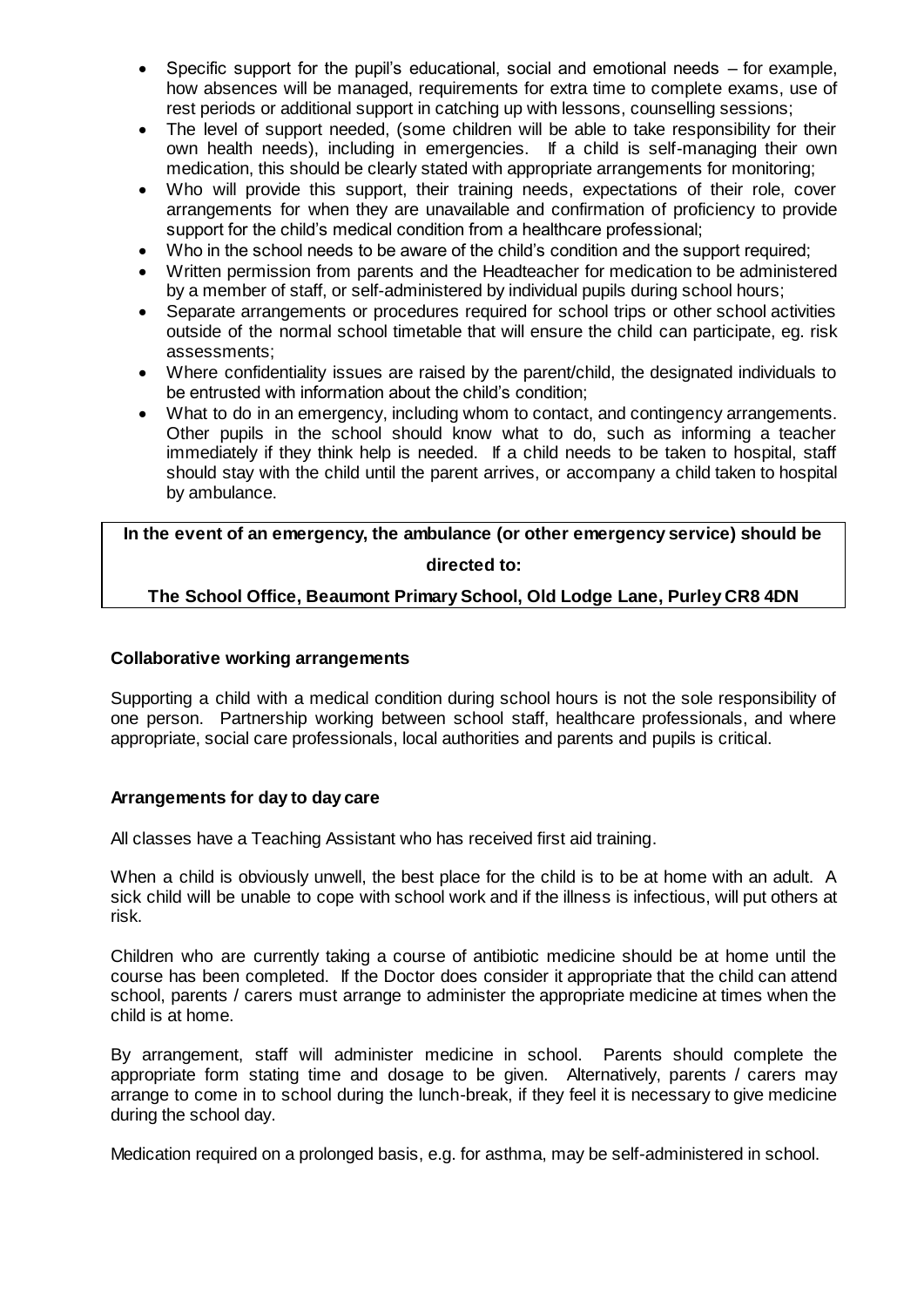- Specific support for the pupil's educational, social and emotional needs for example, how absences will be managed, requirements for extra time to complete exams, use of rest periods or additional support in catching up with lessons, counselling sessions;
- The level of support needed, (some children will be able to take responsibility for their own health needs), including in emergencies. If a child is self-managing their own medication, this should be clearly stated with appropriate arrangements for monitoring;
- Who will provide this support, their training needs, expectations of their role, cover arrangements for when they are unavailable and confirmation of proficiency to provide support for the child's medical condition from a healthcare professional;
- Who in the school needs to be aware of the child's condition and the support required;
- Written permission from parents and the Headteacher for medication to be administered by a member of staff, or self-administered by individual pupils during school hours;
- Separate arrangements or procedures required for school trips or other school activities outside of the normal school timetable that will ensure the child can participate, eg. risk assessments;
- Where confidentiality issues are raised by the parent/child, the designated individuals to be entrusted with information about the child's condition;
- What to do in an emergency, including whom to contact, and contingency arrangements. Other pupils in the school should know what to do, such as informing a teacher immediately if they think help is needed. If a child needs to be taken to hospital, staff should stay with the child until the parent arrives, or accompany a child taken to hospital by ambulance.

### **In the event of an emergency, the ambulance (or other emergency service) should be directed to:**

#### **The School Office, Beaumont Primary School, Old Lodge Lane, Purley CR8 4DN**

#### **Collaborative working arrangements**

Supporting a child with a medical condition during school hours is not the sole responsibility of one person. Partnership working between school staff, healthcare professionals, and where appropriate, social care professionals, local authorities and parents and pupils is critical.

#### **Arrangements for day to day care**

All classes have a Teaching Assistant who has received first aid training.

When a child is obviously unwell, the best place for the child is to be at home with an adult. A sick child will be unable to cope with school work and if the illness is infectious, will put others at risk.

Children who are currently taking a course of antibiotic medicine should be at home until the course has been completed. If the Doctor does consider it appropriate that the child can attend school, parents / carers must arrange to administer the appropriate medicine at times when the child is at home.

By arrangement, staff will administer medicine in school. Parents should complete the appropriate form stating time and dosage to be given. Alternatively, parents / carers may arrange to come in to school during the lunch-break, if they feel it is necessary to give medicine during the school day.

Medication required on a prolonged basis, e.g. for asthma, may be self-administered in school.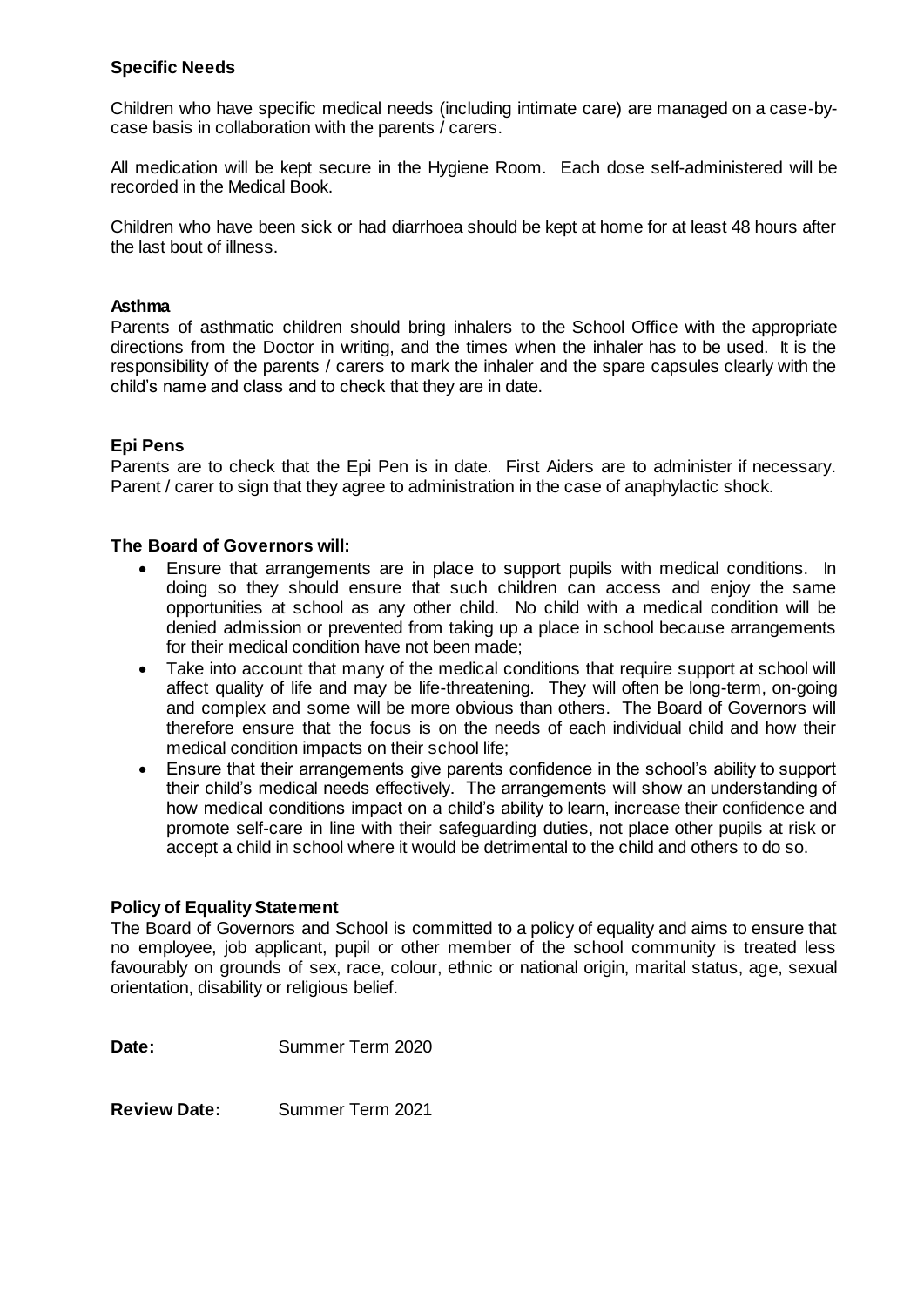#### **Specific Needs**

Children who have specific medical needs (including intimate care) are managed on a case-bycase basis in collaboration with the parents / carers.

All medication will be kept secure in the Hygiene Room. Each dose self-administered will be recorded in the Medical Book.

Children who have been sick or had diarrhoea should be kept at home for at least 48 hours after the last bout of illness.

#### **Asthma**

Parents of asthmatic children should bring inhalers to the School Office with the appropriate directions from the Doctor in writing, and the times when the inhaler has to be used. It is the responsibility of the parents / carers to mark the inhaler and the spare capsules clearly with the child's name and class and to check that they are in date.

#### **Epi Pens**

Parents are to check that the Epi Pen is in date. First Aiders are to administer if necessary. Parent / carer to sign that they agree to administration in the case of anaphylactic shock.

#### **The Board of Governors will:**

- Ensure that arrangements are in place to support pupils with medical conditions. In doing so they should ensure that such children can access and enjoy the same opportunities at school as any other child. No child with a medical condition will be denied admission or prevented from taking up a place in school because arrangements for their medical condition have not been made;
- Take into account that many of the medical conditions that require support at school will affect quality of life and may be life-threatening. They will often be long-term, on-going and complex and some will be more obvious than others. The Board of Governors will therefore ensure that the focus is on the needs of each individual child and how their medical condition impacts on their school life;
- Ensure that their arrangements give parents confidence in the school's ability to support their child's medical needs effectively. The arrangements will show an understanding of how medical conditions impact on a child's ability to learn, increase their confidence and promote self-care in line with their safeguarding duties, not place other pupils at risk or accept a child in school where it would be detrimental to the child and others to do so.

#### **Policy of Equality Statement**

The Board of Governors and School is committed to a policy of equality and aims to ensure that no employee, job applicant, pupil or other member of the school community is treated less favourably on grounds of sex, race, colour, ethnic or national origin, marital status, age, sexual orientation, disability or religious belief.

**Date:** Summer Term 2020

**Review Date:** Summer Term 2021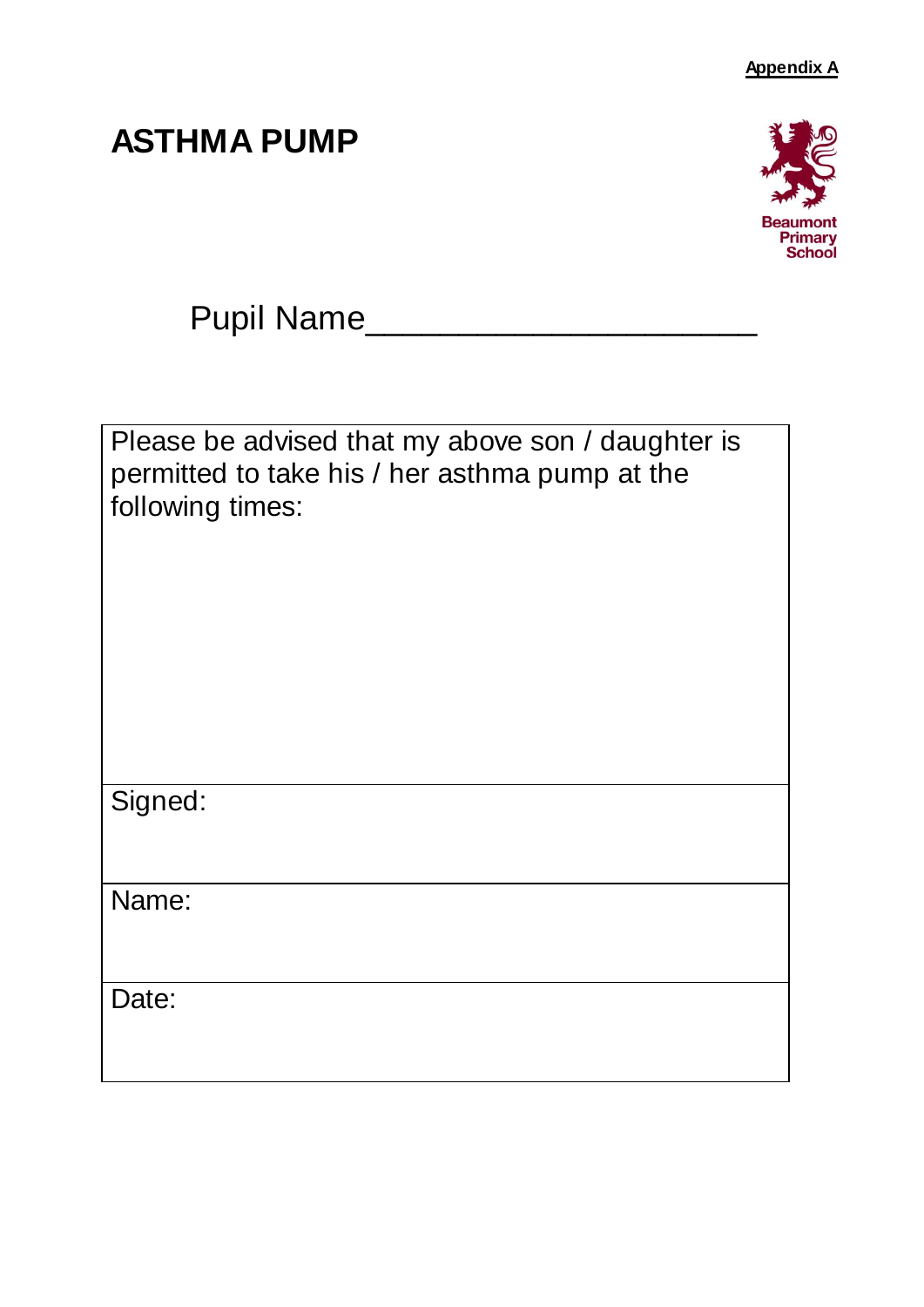## **ASTHMA PUMP**

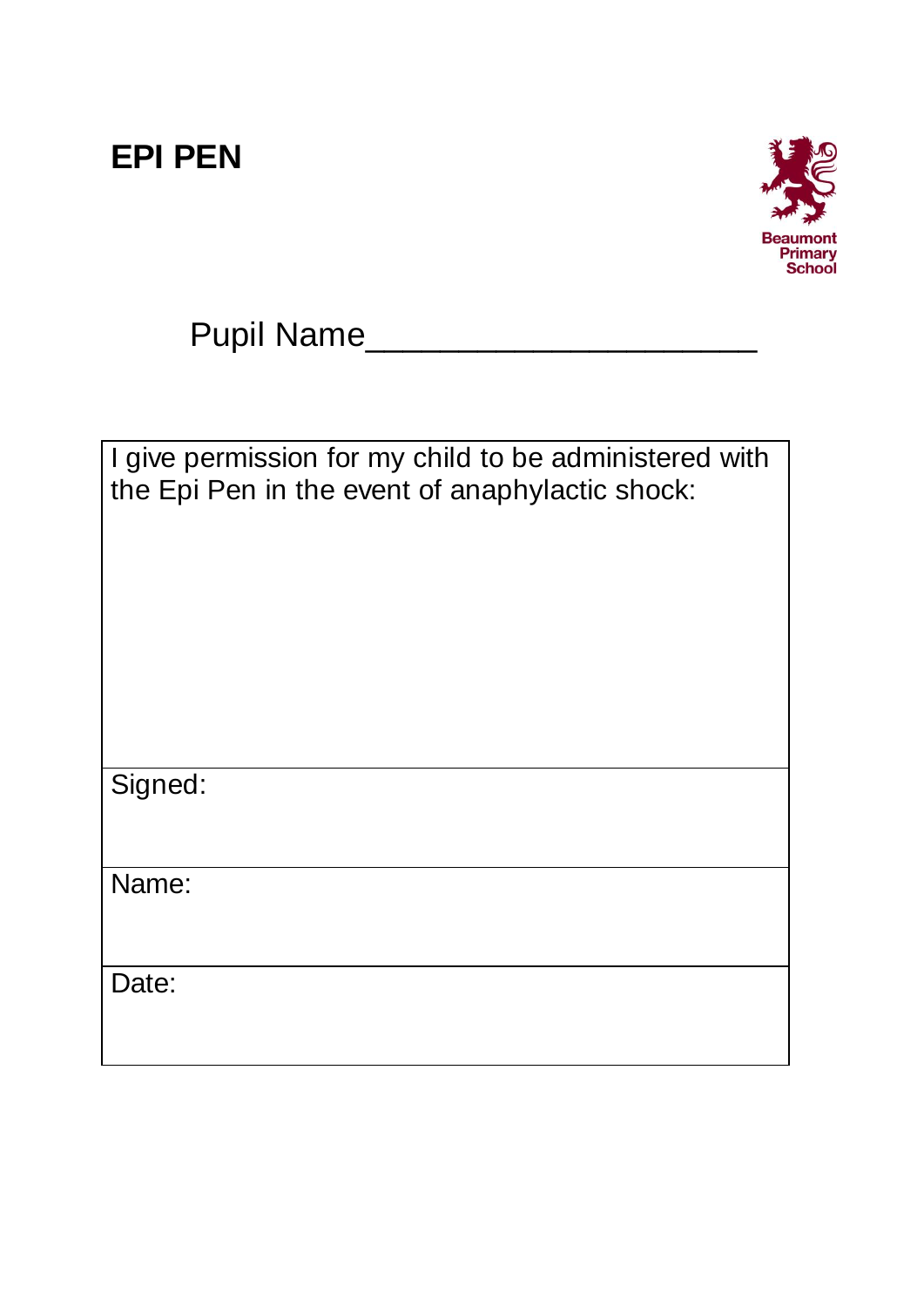## **EPI PEN**



Pupil Name\_\_\_\_\_\_\_\_\_\_\_\_\_\_\_\_\_\_\_\_\_

| I give permission for my child to be administered with<br>the Epi Pen in the event of anaphylactic shock: |
|-----------------------------------------------------------------------------------------------------------|
| Signed:                                                                                                   |
| Name:                                                                                                     |
| Date:                                                                                                     |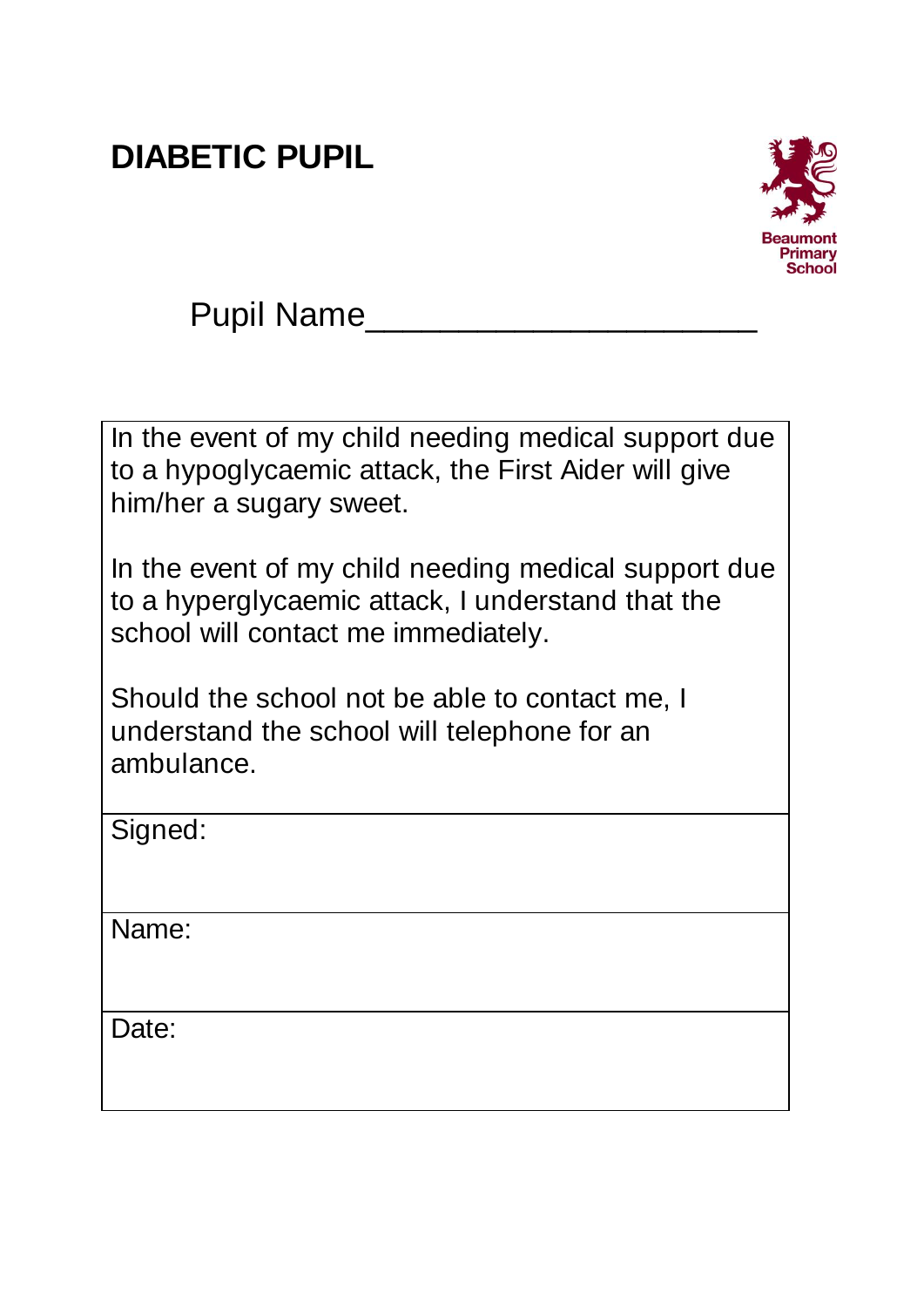## **DIABETIC PUPIL**



In the event of my child needing medical support due to a hypoglycaemic attack, the First Aider will give him/her a sugary sweet.

In the event of my child needing medical support due to a hyperglycaemic attack, I understand that the school will contact me immediately.

Should the school not be able to contact me, I understand the school will telephone for an ambulance.

Signed:

Name:

Date: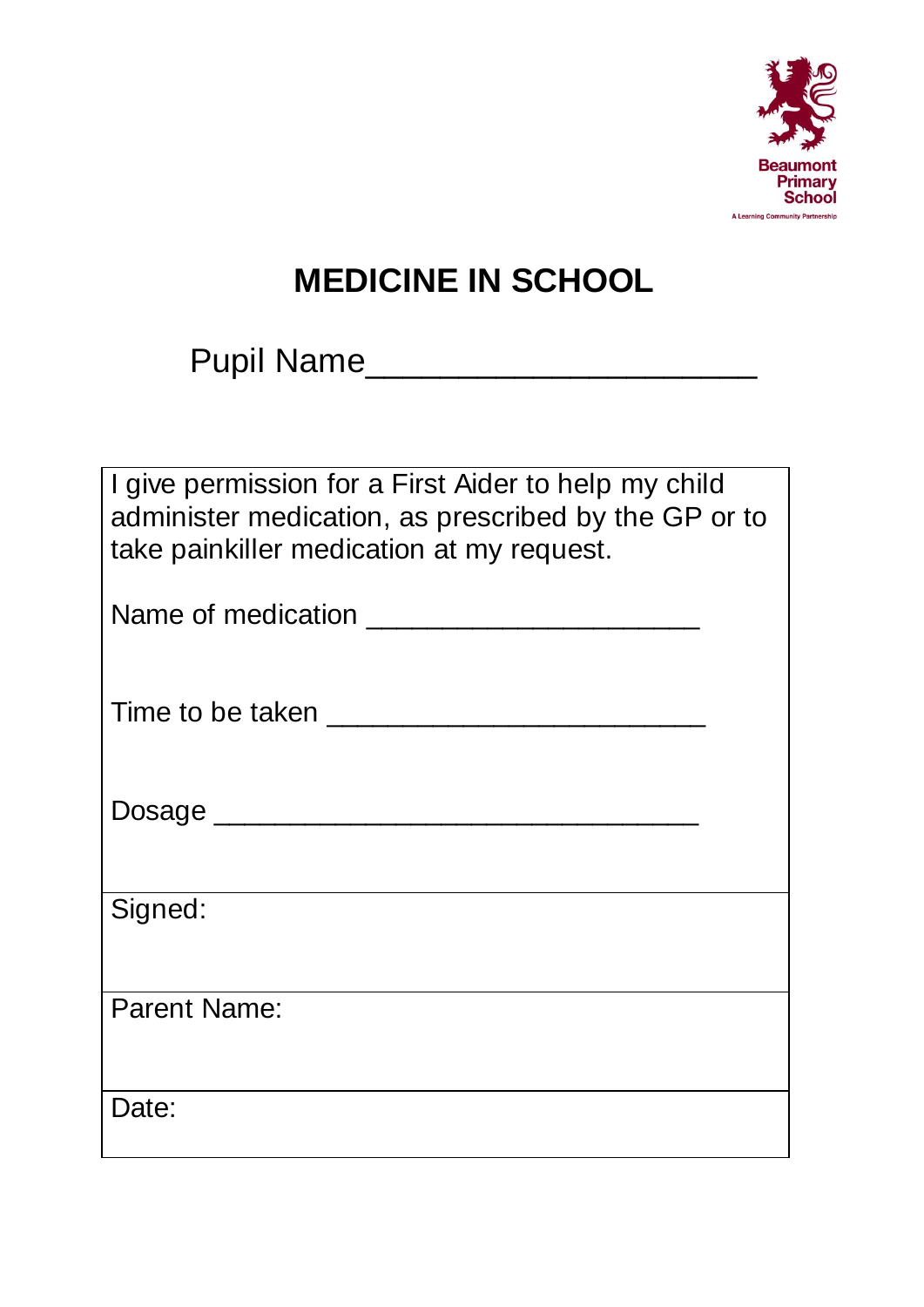

# **MEDICINE IN SCHOOL**

Pupil Name\_\_\_\_\_\_\_\_\_\_\_\_\_\_\_\_\_\_\_\_\_

| I give permission for a First Aider to help my child |  |  |
|------------------------------------------------------|--|--|
| administer medication, as prescribed by the GP or to |  |  |
| take painkiller medication at my request.            |  |  |

| Name of medication |  |
|--------------------|--|
|                    |  |

Dosage \_\_\_\_\_\_\_\_\_\_\_\_\_\_\_\_\_\_\_\_\_\_\_\_\_\_\_\_\_\_\_\_

Signed:

Parent Name:

Date: